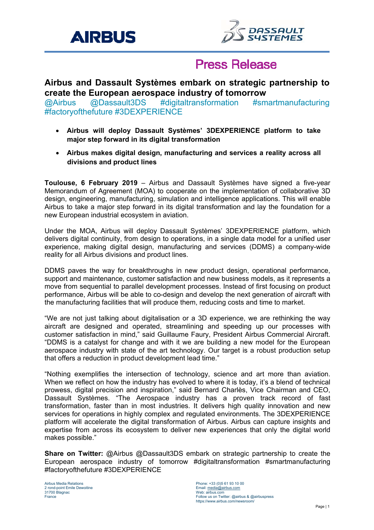



# **Press Release**

### **Airbus and Dassault Systèmes embark on strategic partnership to create the European aerospace industry of tomorrow**

@Airbus @Dassault3DS #digitaltransformation #smartmanufacturing #factoryofthefuture #3DEXPERIENCE

- **Airbus will deploy Dassault Systèmes' 3DEXPERIENCE platform to take major step forward in its digital transformation**
- **Airbus makes digital design, manufacturing and services a reality across all divisions and product lines**

**Toulouse, 6 February 2019** – Airbus and Dassault Systèmes have signed a five-year Memorandum of Agreement (MOA) to cooperate on the implementation of collaborative 3D design, engineering, manufacturing, simulation and intelligence applications. This will enable Airbus to take a major step forward in its digital transformation and lay the foundation for a new European industrial ecosystem in aviation.

Under the MOA, Airbus will deploy Dassault Systèmes' 3DEXPERIENCE platform, which delivers digital continuity, from design to operations, in a single data model for a unified user experience, making digital design, manufacturing and services (DDMS) a company-wide reality for all Airbus divisions and product lines.

DDMS paves the way for breakthroughs in new product design, operational performance, support and maintenance, customer satisfaction and new business models, as it represents a move from sequential to parallel development processes. Instead of first focusing on product performance, Airbus will be able to co-design and develop the next generation of aircraft with the manufacturing facilities that will produce them, reducing costs and time to market.

"We are not just talking about digitalisation or a 3D experience, we are rethinking the way aircraft are designed and operated, streamlining and speeding up our processes with customer satisfaction in mind," said Guillaume Faury, President Airbus Commercial Aircraft. "DDMS is a catalyst for change and with it we are building a new model for the European aerospace industry with state of the art technology. Our target is a robust production setup that offers a reduction in product development lead time."

"Nothing exemplifies the intersection of technology, science and art more than aviation. When we reflect on how the industry has evolved to where it is today, it's a blend of technical prowess, digital precision and inspiration," said Bernard Charlès, Vice Chairman and CEO, Dassault Systèmes. "The Aerospace industry has a proven track record of fast transformation, faster than in most industries. It delivers high quality innovation and new services for operations in highly complex and regulated environments. The 3DEXPERIENCE platform will accelerate the digital transformation of Airbus. Airbus can capture insights and expertise from across its ecosystem to deliver new experiences that only the digital world makes possible."

**Share on Twitter:** @Airbus @Dassault3DS embark on strategic partnership to create the European aerospace industry of tomorrow #digitaltransformation #smartmanufacturing #factoryofthefuture #3DEXPERIENCE